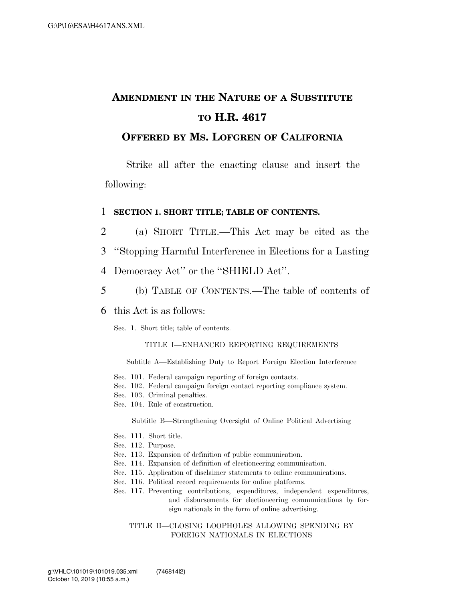## **AMENDMENT IN THE NATURE OF A SUBSTITUTE TO H.R. 4617**

### **OFFERED BY MS. LOFGREN OF CALIFORNIA**

Strike all after the enacting clause and insert the following:

#### 1 **SECTION 1. SHORT TITLE; TABLE OF CONTENTS.**

- 2 (a) SHORT TITLE.—This Act may be cited as the
- 3 ''Stopping Harmful Interference in Elections for a Lasting
- 4 Democracy Act'' or the ''SHIELD Act''.
- 5 (b) TABLE OF CONTENTS.—The table of contents of

#### 6 this Act is as follows:

Sec. 1. Short title; table of contents.

#### TITLE I—ENHANCED REPORTING REQUIREMENTS

Subtitle A—Establishing Duty to Report Foreign Election Interference

- Sec. 101. Federal campaign reporting of foreign contacts.
- Sec. 102. Federal campaign foreign contact reporting compliance system.
- Sec. 103. Criminal penalties.
- Sec. 104. Rule of construction.

Subtitle B—Strengthening Oversight of Online Political Advertising

- Sec. 111. Short title.
- Sec. 112. Purpose.
- Sec. 113. Expansion of definition of public communication.
- Sec. 114. Expansion of definition of electioneering communication.
- Sec. 115. Application of disclaimer statements to online communications.
- Sec. 116. Political record requirements for online platforms.
- Sec. 117. Preventing contributions, expenditures, independent expenditures, and disbursements for electioneering communications by foreign nationals in the form of online advertising.

#### TITLE II—CLOSING LOOPHOLES ALLOWING SPENDING BY FOREIGN NATIONALS IN ELECTIONS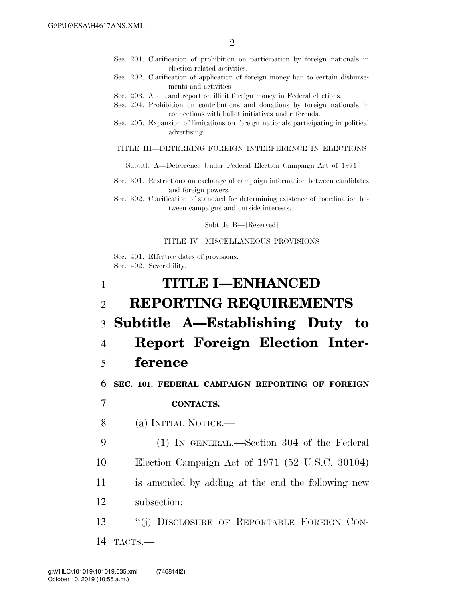- Sec. 201. Clarification of prohibition on participation by foreign nationals in election-related activities.
- Sec. 202. Clarification of application of foreign money ban to certain disbursements and activities.
- Sec. 203. Audit and report on illicit foreign money in Federal elections.
- Sec. 204. Prohibition on contributions and donations by foreign nationals in connections with ballot initiatives and referenda.
- Sec. 205. Expansion of limitations on foreign nationals participating in political advertising.

#### TITLE III—DETERRING FOREIGN INTERFERENCE IN ELECTIONS

Subtitle A—Deterrence Under Federal Election Campaign Act of 1971

Sec. 301. Restrictions on exchange of campaign information between candidates and foreign powers.

Sec. 302. Clarification of standard for determining existence of coordination between campaigns and outside interests.

Subtitle B—[Reserved]

#### TITLE IV—MISCELLANEOUS PROVISIONS

Sec. 401. Effective dates of provisions. Sec. 402. Severability.

| 1              | <b>TITLE I-ENHANCED</b>                           |
|----------------|---------------------------------------------------|
| $\overline{2}$ | <b>REPORTING REQUIREMENTS</b>                     |
|                | 3 Subtitle A—Establishing Duty to                 |
| $\overline{4}$ | Report Foreign Election Inter-                    |
| 5              | ference                                           |
| 6              | SEC. 101. FEDERAL CAMPAIGN REPORTING OF FOREIGN   |
| 7              | <b>CONTACTS.</b>                                  |
| 8              | (a) INITIAL NOTICE.—                              |
| 9              | (1) IN GENERAL.—Section 304 of the Federal        |
| 10             | Election Campaign Act of 1971 (52 U.S.C. 30104)   |
| 11             | is amended by adding at the end the following new |
| 12             | subsection:                                       |
| 13             | "(j) DISCLOSURE OF REPORTABLE FOREIGN CON-        |
| 14             | TACTS.-                                           |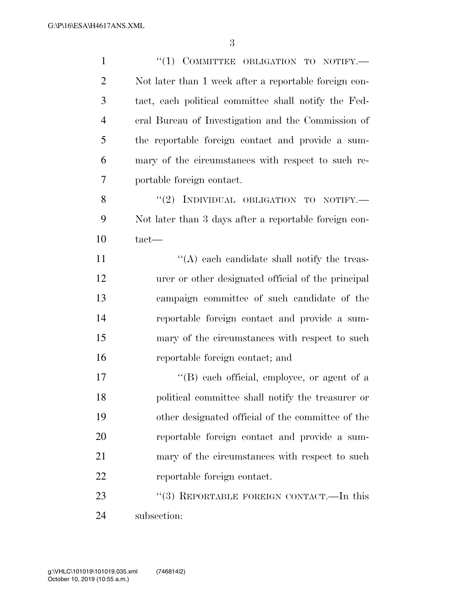| $\mathbf{1}$   | $``(1)$ COMMITTEE OBLIGATION TO NOTIFY.               |
|----------------|-------------------------------------------------------|
| $\overline{2}$ | Not later than 1 week after a reportable foreign con- |
| 3              | tact, each political committee shall notify the Fed-  |
| $\overline{4}$ | eral Bureau of Investigation and the Commission of    |
| 5              | the reportable foreign contact and provide a sum-     |
| 6              | mary of the circumstances with respect to such re-    |
| 7              | portable foreign contact.                             |
| 8              | "(2) INDIVIDUAL OBLIGATION TO NOTIFY.-                |
| 9              | Not later than 3 days after a reportable foreign con- |
| 10             | $\text{tact}$ —                                       |
| 11             | $\lq\lq$ each candidate shall notify the treas-       |
| 12             | urer or other designated official of the principal    |
| 13             | campaign committee of such candidate of the           |
| 14             | reportable foreign contact and provide a sum-         |
| 15             | mary of the circumstances with respect to such        |
| 16             | reportable foreign contact; and                       |
| 17             | "(B) each official, employee, or agent of a           |
| 18             | political committee shall notify the treasurer or     |
| 19             | other designated official of the committee of the     |
| 20             | reportable foreign contact and provide a sum-         |
| 21             | mary of the circumstances with respect to such        |
| 22             | reportable foreign contact.                           |
| 23             | "(3) REPORTABLE FOREIGN CONTACT.—In this              |
|                |                                                       |

subsection: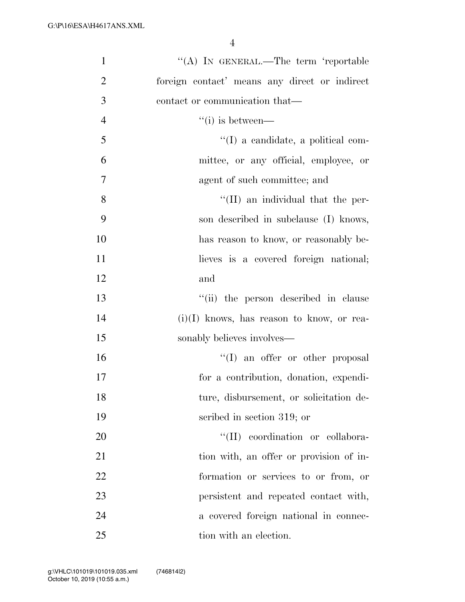| $\mathbf{1}$   | "(A) IN GENERAL.—The term 'reportable         |
|----------------|-----------------------------------------------|
| $\overline{2}$ | foreign contact' means any direct or indirect |
| 3              | contact or communication that—                |
| $\overline{4}$ | $``(i)$ is between—                           |
| 5              | $\lq (I)$ a candidate, a political com-       |
| 6              | mittee, or any official, employee, or         |
| $\tau$         | agent of such committee; and                  |
| 8              | "(II) an individual that the per-             |
| 9              | son described in subclause (I) knows,         |
| 10             | has reason to know, or reasonably be-         |
| 11             | lieves is a covered foreign national;         |
| 12             | and                                           |
| 13             | "(ii) the person described in clause          |
| 14             | $(i)(I)$ knows, has reason to know, or rea-   |
| 15             | sonably believes involves-                    |
| 16             | $\lq\lq$ an offer or other proposal           |
| 17             | for a contribution, donation, expendi-        |
| 18             | ture, disbursement, or solicitation de-       |
| 19             | scribed in section 319; or                    |
| 20             | "(II) coordination or collabora-              |
| 21             | tion with, an offer or provision of in-       |
| 22             | formation or services to or from, or          |
| 23             | persistent and repeated contact with,         |
| 24             | a covered foreign national in connec-         |
| 25             | tion with an election.                        |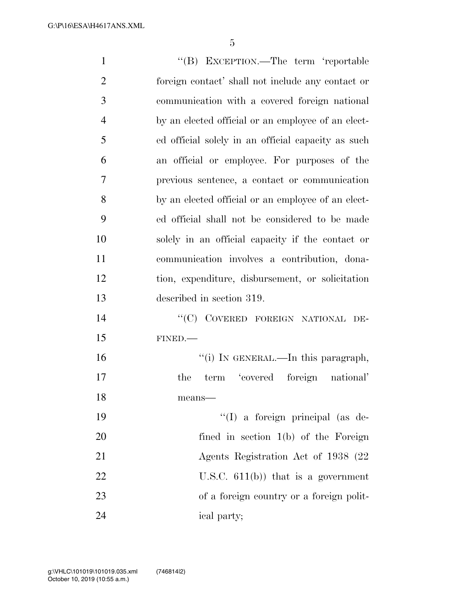| $\mathbf{1}$   | "(B) EXCEPTION.—The term 'reportable               |
|----------------|----------------------------------------------------|
| $\overline{2}$ | foreign contact' shall not include any contact or  |
| 3              | communication with a covered foreign national      |
| $\overline{4}$ | by an elected official or an employee of an elect- |
| 5              | ed official solely in an official capacity as such |
| 6              | an official or employee. For purposes of the       |
| $\overline{7}$ | previous sentence, a contact or communication      |
| 8              | by an elected official or an employee of an elect- |
| 9              | ed official shall not be considered to be made     |
| 10             | solely in an official capacity if the contact or   |
| 11             | communication involves a contribution, dona-       |
| 12             | tion, expenditure, disbursement, or solicitation   |
| 13             | described in section 319.                          |
| 14             | COVERED FOREIGN NATIONAL DE-<br>$\lq\lq C$         |
| 15             | FINED.                                             |
| 16             | "(i) IN GENERAL.—In this paragraph,                |
| 17             | term 'covered foreign national'<br>the             |
| 18             | means-                                             |
| 19             | "(I) a foreign principal (as de-                   |
| 20             | fined in section $1(b)$ of the Foreign             |
| 21             | Agents Registration Act of 1938 (22)               |
| 22             | U.S.C. $611(b)$ that is a government               |
| 23             | of a foreign country or a foreign polit-           |
| 24             | ical party;                                        |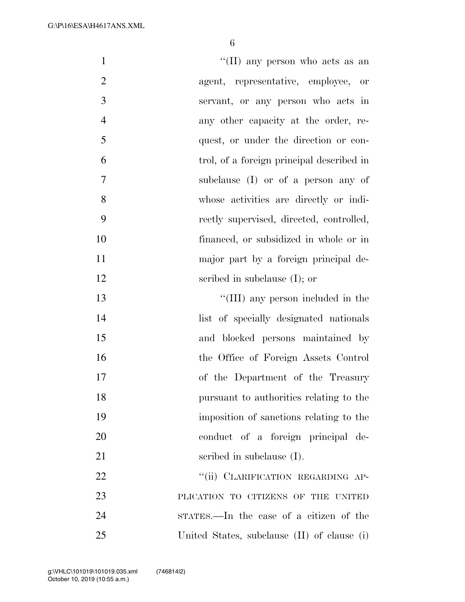| $\mathbf{1}$   | "(II) any person who acts as an             |
|----------------|---------------------------------------------|
| $\overline{2}$ | agent, representative, employee,<br>- or    |
| 3              | servant, or any person who acts in          |
| $\overline{4}$ | any other capacity at the order, re-        |
| 5              | quest, or under the direction or con-       |
| 6              | trol, of a foreign principal described in   |
| 7              | subclause (I) or of a person any of         |
| 8              | whose activities are directly or indi-      |
| 9              | rectly supervised, directed, controlled,    |
| 10             | financed, or subsidized in whole or in      |
| 11             | major part by a foreign principal de-       |
| 12             | scribed in subclause $(I)$ ; or             |
| 13             | "(III) any person included in the           |
| 14             | list of specially designated nationals      |
| 15             | and blocked persons maintained by           |
| 16             | the Office of Foreign Assets Control        |
| 17             | of the Department of the Treasury           |
| 18             | pursuant to authorities relating to the     |
| 19             | imposition of sanctions relating to the     |
| 20             | conduct of a foreign principal de-          |
| 21             | scribed in subclause $(I)$ .                |
| 22             | "(ii) CLARIFICATION REGARDING AP-           |
| 23             | PLICATION TO CITIZENS OF THE UNITED         |
| 24             | STATES.—In the case of a citizen of the     |
| 25             | United States, subclause (II) of clause (i) |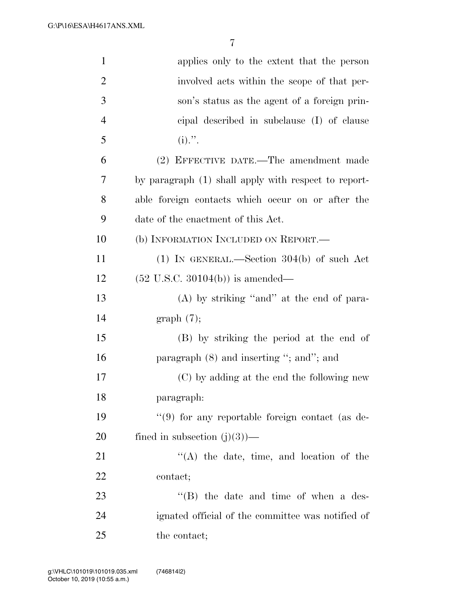| $\mathbf{1}$   | applies only to the extent that the person           |
|----------------|------------------------------------------------------|
| $\overline{2}$ | involved acts within the scope of that per-          |
| 3              | son's status as the agent of a foreign prin-         |
| $\overline{4}$ | eipal described in subclause (I) of clause           |
| 5              | $(i)$ .".                                            |
| 6              | (2) EFFECTIVE DATE.—The amendment made               |
| 7              | by paragraph (1) shall apply with respect to report- |
| 8              | able foreign contacts which occur on or after the    |
| 9              | date of the enactment of this Act.                   |
| 10             | (b) INFORMATION INCLUDED ON REPORT.—                 |
| 11             | $(1)$ IN GENERAL.—Section 304(b) of such Act         |
| 12             | $(52 \text{ U.S.C. } 30104(b))$ is amended—          |
| 13             | $(A)$ by striking "and" at the end of para-          |
| 14             | graph(7);                                            |
| 15             | (B) by striking the period at the end of             |
| 16             | paragraph $(8)$ and inserting "; and"; and           |
| 17             | (C) by adding at the end the following new           |
| 18             | paragraph:                                           |
| 19             | "(9) for any reportable foreign contact (as de-      |
| 20             | fined in subsection $(j)(3)$ —                       |
| 21             | $\lq\lq$ the date, time, and location of the         |
| 22             | contact;                                             |
| 23             | "(B) the date and time of when a des-                |
| 24             | ignated official of the committee was notified of    |
| 25             | the contact;                                         |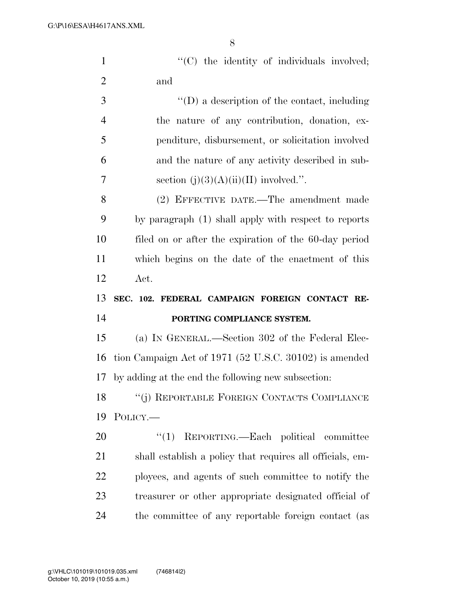1  $\langle (C) \rangle$  the identity of individuals involved; and ''(D) a description of the contact, including

 the nature of any contribution, donation, ex- penditure, disbursement, or solicitation involved and the nature of any activity described in sub-7 section  $(i)(3)(A)(ii)(II)$  involved.".

 (2) EFFECTIVE DATE.—The amendment made by paragraph (1) shall apply with respect to reports filed on or after the expiration of the 60-day period which begins on the date of the enactment of this Act.

### **SEC. 102. FEDERAL CAMPAIGN FOREIGN CONTACT RE-PORTING COMPLIANCE SYSTEM.**

 (a) IN GENERAL.—Section 302 of the Federal Elec- tion Campaign Act of 1971 (52 U.S.C. 30102) is amended by adding at the end the following new subsection:

 ''(j) REPORTABLE FOREIGN CONTACTS COMPLIANCE POLICY.—

20 "(1) REPORTING.—Each political committee shall establish a policy that requires all officials, em- ployees, and agents of such committee to notify the treasurer or other appropriate designated official of the committee of any reportable foreign contact (as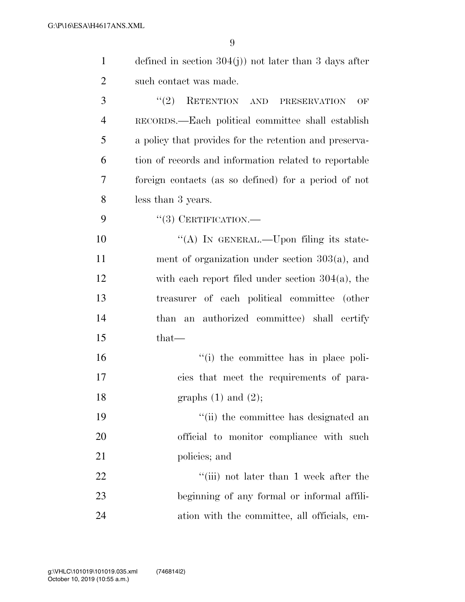| $\mathbf{1}$   | defined in section $304(j)$ not later than 3 days after |
|----------------|---------------------------------------------------------|
| $\overline{c}$ | such contact was made.                                  |
| 3              | (2)<br>RETENTION AND PRESERVATION<br>OF                 |
| $\overline{4}$ | RECORDS.—Each political committee shall establish       |
| 5              | a policy that provides for the retention and preserva-  |
| 6              | tion of records and information related to reportable   |
| $\tau$         | foreign contacts (as so defined) for a period of not    |
| 8              | less than 3 years.                                      |
| 9              | $``(3)$ CERTIFICATION.—                                 |
| 10             | "(A) IN GENERAL.—Upon filing its state-                 |
| 11             | ment of organization under section $303(a)$ , and       |
| 12             | with each report filed under section $304(a)$ , the     |
| 13             | treasurer of each political committee (other            |
| 14             | than an authorized committee) shall certify             |
| 15             | that—                                                   |
| 16             | "(i) the committee has in place poli-                   |
| 17             | cies that meet the requirements of para-                |
| 18             | graphs $(1)$ and $(2)$ ;                                |
| 19             | "(ii) the committee has designated an                   |
| 20             | official to monitor compliance with such                |
| 21             | policies; and                                           |
| 22             | "(iii) not later than 1 week after the                  |
| 23             | beginning of any formal or informal affili-             |
| 24             | ation with the committee, all officials, em-            |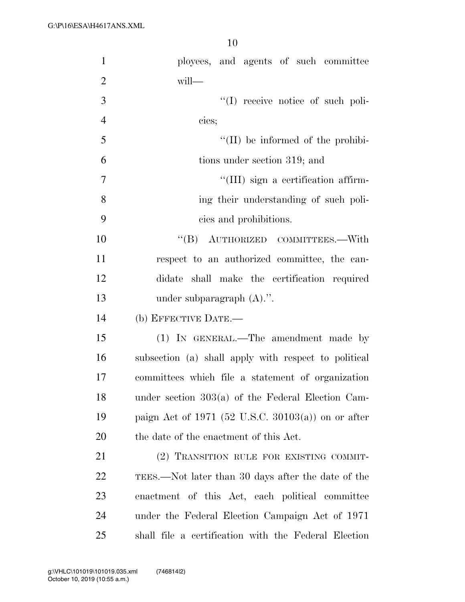| $\mathbf{1}$   | ployees, and agents of such committee                |
|----------------|------------------------------------------------------|
| $\overline{2}$ | will-                                                |
| 3              | $\lq\lq$ receive notice of such poli-                |
| $\overline{4}$ | cies;                                                |
| 5              | $\lq\lq$ (II) be informed of the prohibi-            |
| 6              | tions under section 319; and                         |
| 7              | "(III) sign a certification affirm-                  |
| 8              | ing their understanding of such poli-                |
| 9              | cies and prohibitions.                               |
| 10             | "(B) AUTHORIZED COMMITTEES.—With                     |
| 11             | respect to an authorized committee, the can-         |
| 12             | didate shall make the certification required         |
| 13             | under subparagraph $(A)$ .".                         |
| 14             | (b) EFFECTIVE DATE.-                                 |
| 15             | (1) IN GENERAL.—The amendment made by                |
| 16             | subsection (a) shall apply with respect to political |
| 17             | committees which file a statement of organization    |
| 18             | under section $303(a)$ of the Federal Election Cam-  |
| 19             | paign Act of 1971 (52 U.S.C. 30103(a)) on or after   |
| 20             | the date of the enactment of this Act.               |
| 21             | (2) TRANSITION RULE FOR EXISTING COMMIT-             |
| <u>22</u>      | TEES.—Not later than 30 days after the date of the   |
| 23             | enactment of this Act, each political committee      |
| 24             | under the Federal Election Campaign Act of 1971      |
| 25             | shall file a certification with the Federal Election |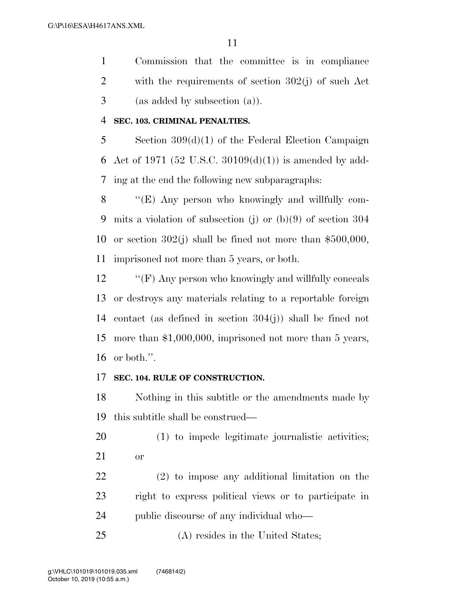Commission that the committee is in compliance with the requirements of section 302(j) of such Act (as added by subsection (a)).

#### **SEC. 103. CRIMINAL PENALTIES.**

 Section 309(d)(1) of the Federal Election Campaign 6 Act of 1971 (52 U.S.C. 30109 $(d)(1)$ ) is amended by add-ing at the end the following new subparagraphs:

 ''(E) Any person who knowingly and willfully com- mits a violation of subsection (j) or (b)(9) of section 304 or section 302(j) shall be fined not more than \$500,000, imprisoned not more than 5 years, or both.

12 "'(F) Any person who knowingly and willfully conceals or destroys any materials relating to a reportable foreign contact (as defined in section 304(j)) shall be fined not more than \$1,000,000, imprisoned not more than 5 years, or both.''.

#### **SEC. 104. RULE OF CONSTRUCTION.**

 Nothing in this subtitle or the amendments made by this subtitle shall be construed—

 (1) to impede legitimate journalistic activities; or

 (2) to impose any additional limitation on the right to express political views or to participate in public discourse of any individual who—

25 (A) resides in the United States;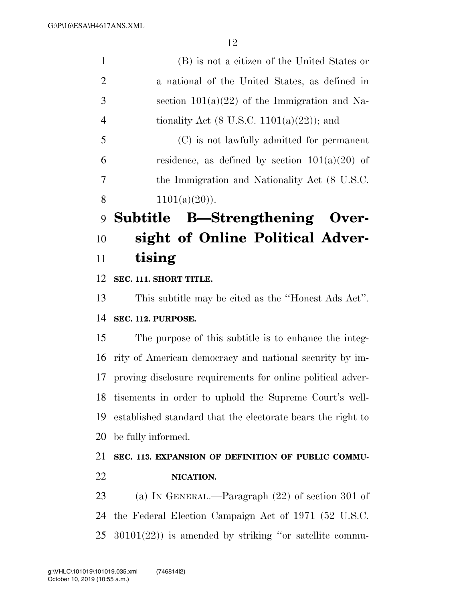| $\mathbf{1}$   | (B) is not a citizen of the United States or          |
|----------------|-------------------------------------------------------|
| 2              | a national of the United States, as defined in        |
| 3              | section $101(a)(22)$ of the Immigration and Na-       |
| $\overline{4}$ | tionality Act $(8 \text{ U.S.C. } 1101(a)(22))$ ; and |
| 5              | (C) is not lawfully admitted for permanent            |
| 6              | residence, as defined by section $101(a)(20)$ of      |
| 7              | the Immigration and Nationality Act (8 U.S.C.         |
| 8              | $1101(a)(20)$ .                                       |
|                | 9 Subtitle B—Strengthening Over-                      |
| 10             | sight of Online Political Adver-                      |

### **tising**

#### **SEC. 111. SHORT TITLE.**

 This subtitle may be cited as the ''Honest Ads Act''. **SEC. 112. PURPOSE.** 

 The purpose of this subtitle is to enhance the integ- rity of American democracy and national security by im- proving disclosure requirements for online political adver- tisements in order to uphold the Supreme Court's well- established standard that the electorate bears the right to be fully informed.

### **SEC. 113. EXPANSION OF DEFINITION OF PUBLIC COMMU-NICATION.**

 (a) IN GENERAL.—Paragraph (22) of section 301 of the Federal Election Campaign Act of 1971 (52 U.S.C. 30101(22)) is amended by striking ''or satellite commu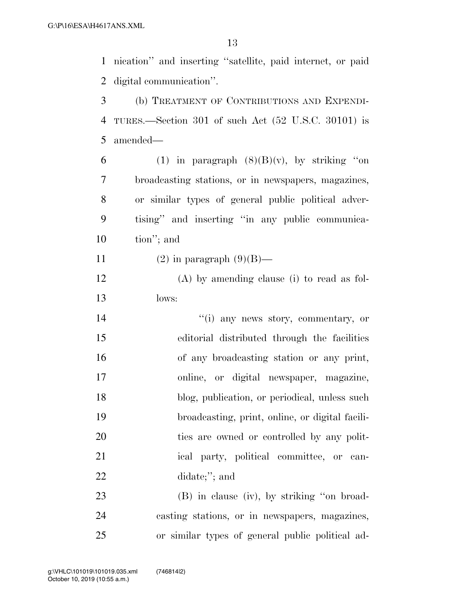nication'' and inserting ''satellite, paid internet, or paid digital communication''.

 (b) TREATMENT OF CONTRIBUTIONS AND EXPENDI- TURES.—Section 301 of such Act (52 U.S.C. 30101) is amended—

6 (1) in paragraph  $(8)(B)(v)$ , by striking "on broadcasting stations, or in newspapers, magazines, or similar types of general public political adver- tising'' and inserting ''in any public communica-tion''; and

11 (2) in paragraph  $(9)(B)$ —

 (A) by amending clause (i) to read as fol-lows:

 $''(i)$  any news story, commentary, or editorial distributed through the facilities of any broadcasting station or any print, online, or digital newspaper, magazine, 18 blog, publication, or periodical, unless such broadcasting, print, online, or digital facili- ties are owned or controlled by any polit-21 ical party, political committee, or can-didate;''; and

 (B) in clause (iv), by striking ''on broad- casting stations, or in newspapers, magazines, or similar types of general public political ad-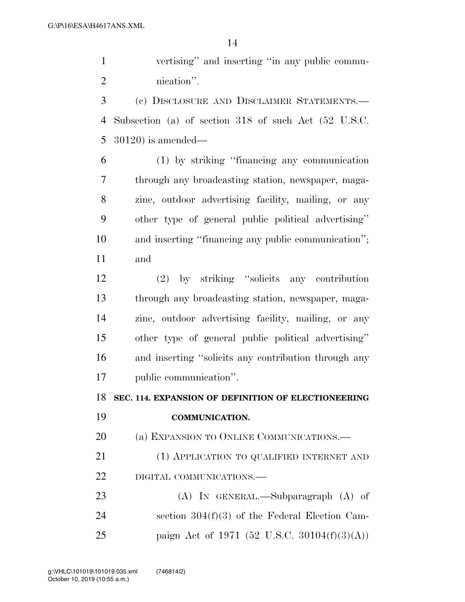vertising'' and inserting ''in any public commu-nication''.

 (c) DISCLOSURE AND DISCLAIMER STATEMENTS.— Subsection (a) of section 318 of such Act (52 U.S.C. 30120) is amended—

 (1) by striking ''financing any communication through any broadcasting station, newspaper, maga- zine, outdoor advertising facility, mailing, or any other type of general public political advertising'' and inserting ''financing any public communication''; and

 (2) by striking ''solicits any contribution through any broadcasting station, newspaper, maga- zine, outdoor advertising facility, mailing, or any other type of general public political advertising'' and inserting ''solicits any contribution through any public communication''.

**SEC. 114. EXPANSION OF DEFINITION OF ELECTIONEERING** 

**COMMUNICATION.** 

20 (a) EXPANSION TO ONLINE COMMUNICATIONS.—

 (1) APPLICATION TO QUALIFIED INTERNET AND DIGITAL COMMUNICATIONS.—

 (A) IN GENERAL.—Subparagraph (A) of section 304(f)(3) of the Federal Election Cam-paign Act of 1971 (52 U.S.C. 30104(f)(3)(A))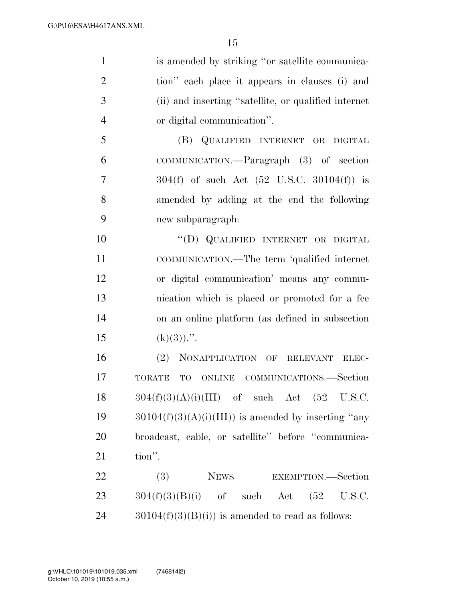| $\mathbf{1}$   | is amended by striking "or satellite communica-          |
|----------------|----------------------------------------------------------|
| $\overline{2}$ | tion" each place it appears in clauses (i) and           |
| 3              | (ii) and inserting "satellite, or qualified internet     |
| $\overline{4}$ | or digital communication".                               |
| 5              | (B) QUALIFIED INTERNET OR DIGITAL                        |
| 6              | COMMUNICATION.—Paragraph (3) of section                  |
| $\overline{7}$ | $304(f)$ of such Act $(52 \text{ U.S.C. } 30104(f))$ is  |
| 8              | amended by adding at the end the following               |
| 9              | new subparagraph:                                        |
| 10             | "(D) QUALIFIED INTERNET OR DIGITAL                       |
| 11             | COMMUNICATION.—The term 'qualified internet              |
| 12             | or digital communication' means any commu-               |
| 13             | nication which is placed or promoted for a fee           |
| 14             | on an online platform (as defined in subsection          |
| 15             | $(k)(3))$ .".                                            |
| 16             | (2) NONAPPLICATION OF RELEVANT ELEC-                     |
| 17             | TO ONLINE COMMUNICATIONS.—Section<br><b>TORATE</b>       |
| 18             | $304(f)(3)(A)(i)(III)$ of such Act $(52 \text{ U.S.C.})$ |
| 19             | $30104(f)(3)(A)(i)(III))$ is amended by inserting "any   |
| 20             | broadcast, cable, or satellite" before "communica-       |
| 21             | tion".                                                   |
| 22             | (3)<br>NEWS EXEMPTION.—Section                           |
| 23             | $304(f)(3)(B)(i)$ of such Act $(52 \text{ U.S.C.})$      |
| 24             | $30104(f)(3)(B(i))$ is amended to read as follows:       |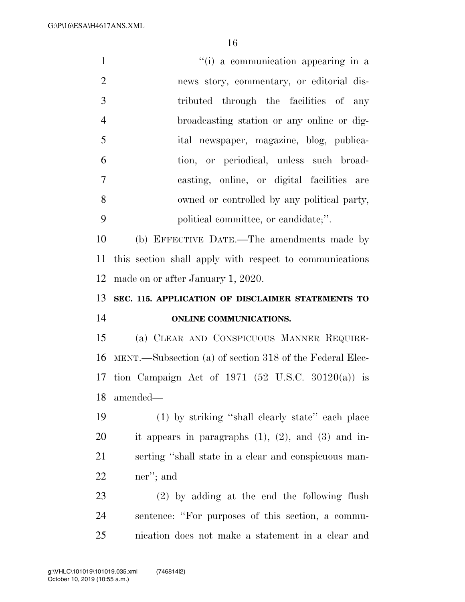G:\P\16\ESA\H4617ANS.XML

| $\mathbf{1}$   | "(i) a communication appearing in a                        |
|----------------|------------------------------------------------------------|
| $\mathbf{2}$   | news story, commentary, or editorial dis-                  |
| 3              | tributed through the facilities of any                     |
| $\overline{4}$ | broadcasting station or any online or dig-                 |
| 5              | ital newspaper, magazine, blog, publica-                   |
| 6              | tion, or periodical, unless such broad-                    |
| $\overline{7}$ | casting, online, or digital facilities are                 |
| 8              | owned or controlled by any political party,                |
| 9              | political committee, or candidate;".                       |
| 10             | (b) EFFECTIVE DATE.—The amendments made by                 |
| 11             | this section shall apply with respect to communications    |
| 12             | made on or after January 1, 2020.                          |
|                |                                                            |
| 13             | SEC. 115. APPLICATION OF DISCLAIMER STATEMENTS TO          |
| 14             | ONLINE COMMUNICATIONS.                                     |
| 15             | (a) CLEAR AND CONSPICUOUS MANNER REQUIRE-                  |
| 16             | MENT.—Subsection (a) of section 318 of the Federal Elec-   |
|                | 17 tion Campaign Act of 1971 (52 U.S.C. 30120(a)) is       |
| 18             | amended—                                                   |
| 19             | (1) by striking "shall clearly state" each place           |
| 20             | it appears in paragraphs $(1)$ , $(2)$ , and $(3)$ and in- |
| 21             | serting "shall state in a clear and conspicuous man-       |
| 22             | ner"; and                                                  |
| 23             | (2) by adding at the end the following flush               |
| 24             | sentence: "For purposes of this section, a commu-          |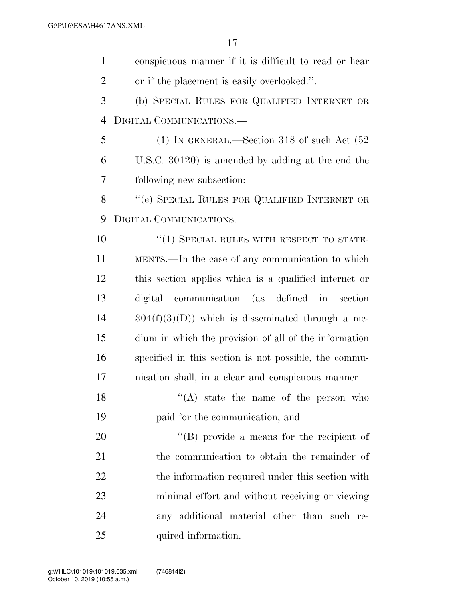| $\mathbf{1}$   | conspicuous manner if it is difficult to read or hear |
|----------------|-------------------------------------------------------|
| $\overline{2}$ | or if the placement is easily overlooked.".           |
| 3              | (b) SPECIAL RULES FOR QUALIFIED INTERNET OR           |
| $\overline{4}$ | DIGITAL COMMUNICATIONS.—                              |
| 5              | (1) IN GENERAL.—Section 318 of such Act $(52)$        |
| 6              | U.S.C. 30120) is amended by adding at the end the     |
| 7              | following new subsection:                             |
| 8              | "(e) SPECIAL RULES FOR QUALIFIED INTERNET OR          |
| 9              | DIGITAL COMMUNICATIONS.                               |
| 10             | "(1) SPECIAL RULES WITH RESPECT TO STATE-             |
| 11             | MENTS.—In the case of any communication to which      |
| 12             | this section applies which is a qualified internet or |
| 13             | communication (as defined in<br>digital<br>section    |
| 14             | $304(f)(3)(D)$ which is disseminated through a me-    |
| 15             | dium in which the provision of all of the information |
| 16             | specified in this section is not possible, the commu- |
| 17             | nication shall, in a clear and conspicuous manner—    |
| 18             | "(A) state the name of the person who                 |
| 19             | paid for the communication; and                       |
| 20             | $\lq\lq (B)$ provide a means for the recipient of     |
| 21             | the communication to obtain the remainder of          |
| 22             | the information required under this section with      |
| 23             | minimal effort and without receiving or viewing       |
| 24             | any additional material other than such re-           |
| 25             | quired information.                                   |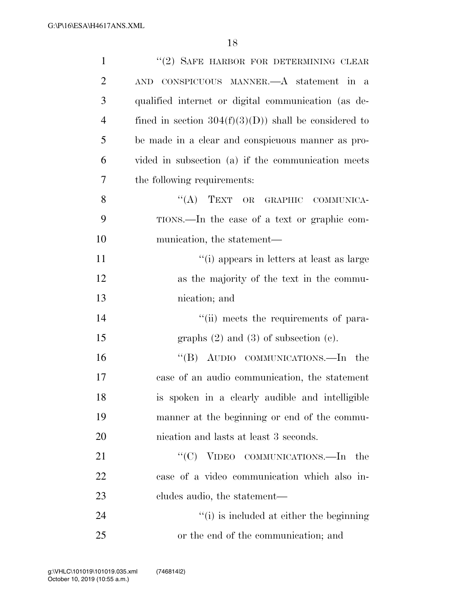| $\mathbf{1}$   | "(2) SAFE HARBOR FOR DETERMINING CLEAR                 |
|----------------|--------------------------------------------------------|
| $\overline{2}$ | CONSPICUOUS MANNER.—A statement in a<br><b>AND</b>     |
| 3              | qualified internet or digital communication (as de-    |
| $\overline{4}$ | fined in section $304(f)(3)(D)$ shall be considered to |
| 5              | be made in a clear and conspicuous manner as pro-      |
| 6              | vided in subsection (a) if the communication meets     |
| 7              | the following requirements:                            |
| 8              | "(A) TEXT OR GRAPHIC COMMUNICA-                        |
| 9              | TIONS.—In the case of a text or graphic com-           |
| 10             | munication, the statement—                             |
| 11             | "(i) appears in letters at least as large              |
| 12             | as the majority of the text in the commu-              |
| 13             | nication; and                                          |
| 14             | "(ii) meets the requirements of para-                  |
| 15             | graphs $(2)$ and $(3)$ of subsection $(e)$ .           |
| 16             | "(B) AUDIO COMMUNICATIONS.—In the                      |
| 17             | case of an audio communication, the statement          |
| 18             | is spoken in a clearly audible and intelligible        |
| 19             | manner at the beginning or end of the commu-           |
| 20             | nication and lasts at least 3 seconds.                 |
| 21             | "(C) VIDEO COMMUNICATIONS.—In<br>the                   |
| 22             | case of a video communication which also in-           |
| 23             | cludes audio, the statement—                           |
| 24             | "(i) is included at either the beginning               |
| 25             | or the end of the communication; and                   |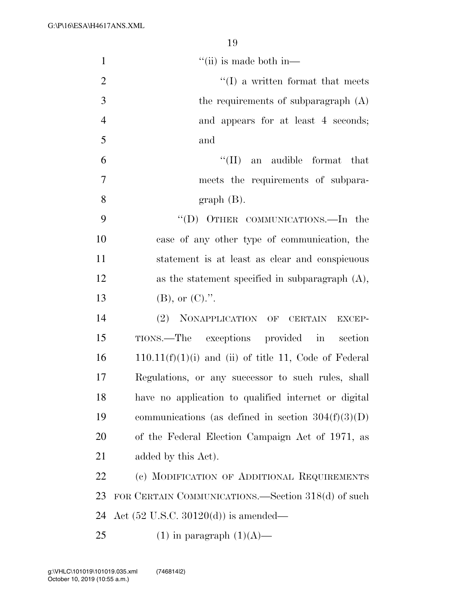| $\mathbf{1}$   | $\lq\lq$ (ii) is made both in—                          |
|----------------|---------------------------------------------------------|
| $\mathbf{2}$   | $\lq\lq$ a written format that meets                    |
| 3              | the requirements of subparagraph $(A)$                  |
| $\overline{4}$ | and appears for at least 4 seconds;                     |
| 5              | and                                                     |
| 6              | ``(II)<br>an audible format that                        |
| $\tau$         | meets the requirements of subpara-                      |
| 8              | $graph(B)$ .                                            |
| 9              | "(D) OTHER COMMUNICATIONS.—In the                       |
| 10             | case of any other type of communication, the            |
| 11             | statement is at least as clear and conspicuous          |
| 12             | as the statement specified in subparagraph $(A)$ ,      |
| 13             | $(B)$ , or $(C)$ .".                                    |
| 14             | (2) NONAPPLICATION OF CERTAIN EXCEP-                    |
| 15             | TIONS.—The exceptions provided in section               |
| 16             | $110.11(f)(1)(i)$ and (ii) of title 11, Code of Federal |
| 17             | Regulations, or any successor to such rules, shall      |
| 18             | have no application to qualified internet or digital    |
| 19             | communications (as defined in section $304(f)(3)(D)$ )  |
| 20             | of the Federal Election Campaign Act of 1971, as        |
| 21             | added by this Act).                                     |
| 22             | (c) MODIFICATION OF ADDITIONAL REQUIREMENTS             |
| 23             | FOR CERTAIN COMMUNICATIONS.—Section 318(d) of such      |
| 24             | Act $(52 \text{ U.S.C. } 30120(d))$ is amended—         |
| 25             | $(1)$ in paragraph $(1)(A)$ —                           |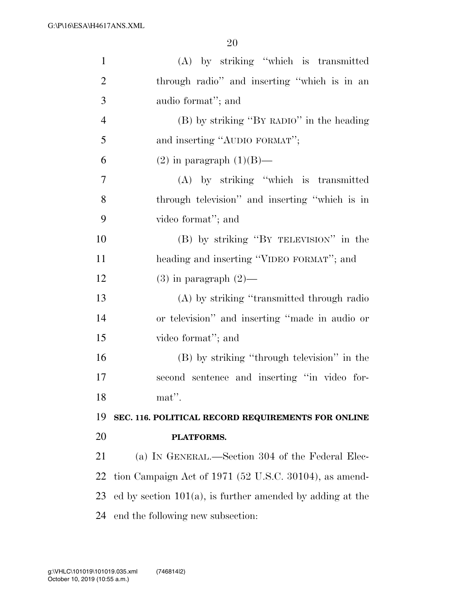| $\mathbf{1}$   | (A) by striking "which is transmitted                        |
|----------------|--------------------------------------------------------------|
| $\overline{2}$ | through radio" and inserting "which is in an                 |
| 3              | audio format"; and                                           |
| $\overline{4}$ | (B) by striking "BY RADIO" in the heading                    |
| 5              | and inserting "AUDIO FORMAT";                                |
| 6              | $(2)$ in paragraph $(1)(B)$ —                                |
| 7              | (A) by striking "which is transmitted                        |
| 8              | through television" and inserting "which is in               |
| 9              | video format"; and                                           |
| 10             | (B) by striking "BY TELEVISION" in the                       |
| 11             | heading and inserting "VIDEO FORMAT"; and                    |
| 12             | $(3)$ in paragraph $(2)$ —                                   |
| 13             | (A) by striking "transmitted through radio                   |
| 14             | or television" and inserting "made in audio or               |
| 15             | video format"; and                                           |
| 16             | (B) by striking "through television" in the                  |
| 17             | second sentence and inserting "in video for-                 |
| 18             | $m$ at''.                                                    |
| 19             | SEC. 116. POLITICAL RECORD REQUIREMENTS FOR ONLINE           |
| 20             | PLATFORMS.                                                   |
| 21             | (a) IN GENERAL.—Section 304 of the Federal Elec-             |
| 22             | tion Campaign Act of 1971 (52 U.S.C. 30104), as amend-       |
| 23             | ed by section $101(a)$ , is further amended by adding at the |
| 24             | end the following new subsection:                            |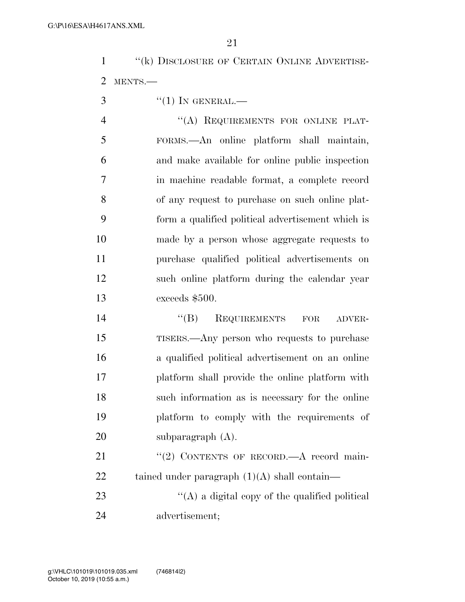''(k) DISCLOSURE OF CERTAIN ONLINE ADVERTISE-MENTS.—

 $\mathcal{S}$  ''(1) IN GENERAL.—

4 "(A) REQUIREMENTS FOR ONLINE PLAT- FORMS.—An online platform shall maintain, and make available for online public inspection in machine readable format, a complete record of any request to purchase on such online plat- form a qualified political advertisement which is made by a person whose aggregate requests to purchase qualified political advertisements on such online platform during the calendar year exceeds \$500.

 ''(B) REQUIREMENTS FOR ADVER- TISERS.—Any person who requests to purchase a qualified political advertisement on an online platform shall provide the online platform with such information as is necessary for the online platform to comply with the requirements of subparagraph (A).

21 "(2) CONTENTS OF RECORD.—A record main-22 tained under paragraph  $(1)(A)$  shall contain—

23  $\langle (A)$  a digital copy of the qualified political advertisement;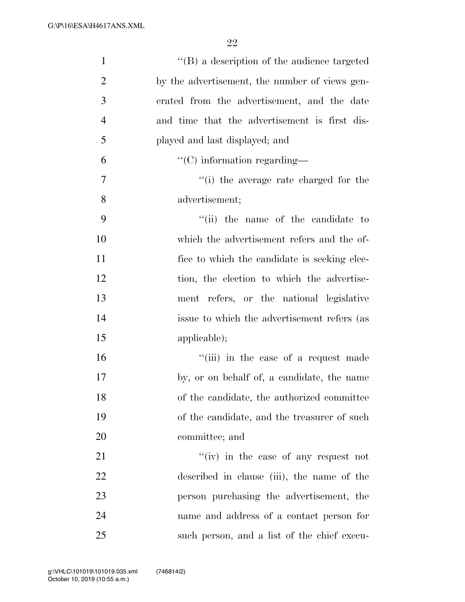| $\mathbf{1}$   | $\lq\lq (B)$ a description of the audience targeted |
|----------------|-----------------------------------------------------|
| $\overline{2}$ | by the advertisement, the number of views gen-      |
| 3              | erated from the advertisement, and the date         |
| $\overline{4}$ | and time that the advertisement is first dis-       |
| 5              | played and last displayed; and                      |
| 6              | $\lq\lq$ (C) information regarding—                 |
| $\overline{7}$ | "(i) the average rate charged for the               |
| 8              | advertisement;                                      |
| 9              | "(ii) the name of the candidate to                  |
| 10             | which the advertisement refers and the of-          |
| 11             | fice to which the candidate is seeking elec-        |
| 12             | tion, the election to which the advertise-          |
| 13             | ment refers, or the national legislative            |
| 14             | issue to which the advertisement refers (as         |
| 15             | applicable);                                        |
| 16             | "(iii) in the case of a request made                |
| 17             | by, or on behalf of, a candidate, the name          |
| 18             | of the candidate, the authorized committee          |
| 19             | of the candidate, and the treasurer of such         |
| 20             | committee; and                                      |
| 21             | $f'(iv)$ in the case of any request not             |
| 22             | described in clause (iii), the name of the          |
| 23             | person purchasing the advertisement, the            |
| 24             | name and address of a contact person for            |
| 25             | such person, and a list of the chief execu-         |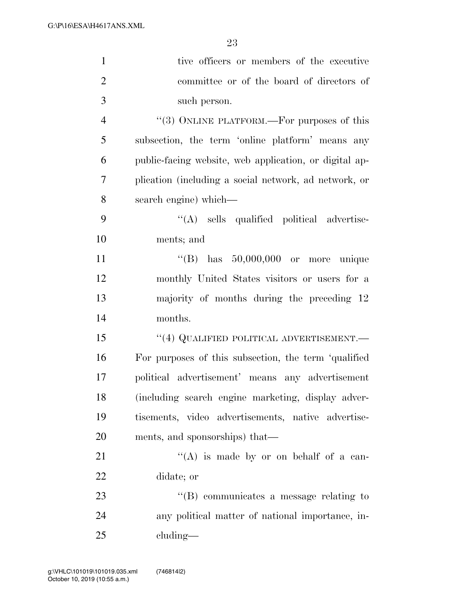| $\mathbf{1}$   | tive officers or members of the executive              |
|----------------|--------------------------------------------------------|
| $\overline{2}$ | committee or of the board of directors of              |
| 3              | such person.                                           |
| $\overline{4}$ | "(3) ONLINE PLATFORM.—For purposes of this             |
| 5              | subsection, the term 'online platform' means any       |
| 6              | public-facing website, web application, or digital ap- |
| $\overline{7}$ | plication (including a social network, ad network, or  |
| 8              | search engine) which—                                  |
| 9              | "(A) sells qualified political advertise-              |
| 10             | ments; and                                             |
| 11             | "(B) has $50,000,000$ or more unique                   |
| 12             | monthly United States visitors or users for a          |
| 13             | majority of months during the preceding 12             |
| 14             | months.                                                |
| 15             | $``(4)$ QUALIFIED POLITICAL ADVERTISEMENT.—            |
| 16             | For purposes of this subsection, the term 'qualified   |
| 17             | political advertisement' means any advertisement       |
| 18             | (including search engine marketing, display adver-     |
| 19             | tisements, video advertisements, native advertise-     |
| 20             | ments, and sponsorships) that—                         |
| 21             | "(A) is made by or on behalf of a can-                 |
| 22             | didate; or                                             |
| 23             | $\lq\lq (B)$ communicates a message relating to        |
| 24             | any political matter of national importance, in-       |
| 25             | $cluding$ —                                            |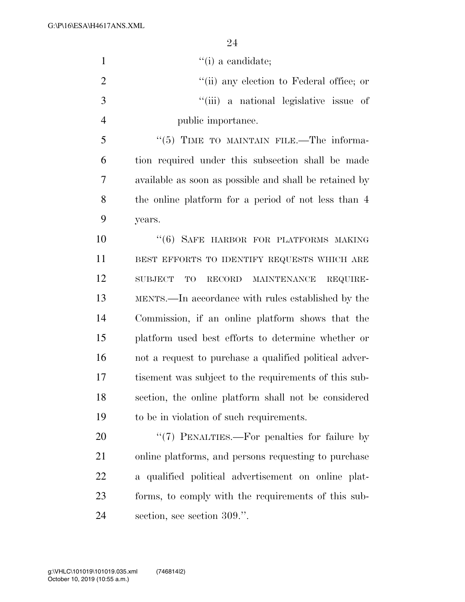| $\mathbf{1}$   | $\lq\lq(i)$ a candidate;                               |
|----------------|--------------------------------------------------------|
| $\overline{2}$ | "(ii) any election to Federal office; or               |
| 3              | "(iii) a national legislative issue of                 |
| $\overline{4}$ | public importance.                                     |
| 5              | "(5) TIME TO MAINTAIN FILE.—The informa-               |
| 6              | tion required under this subsection shall be made      |
| $\overline{7}$ | available as soon as possible and shall be retained by |
| 8              | the online platform for a period of not less than 4    |
| 9              | years.                                                 |
| 10             | "(6) SAFE HARBOR FOR PLATFORMS MAKING                  |
| 11             | BEST EFFORTS TO IDENTIFY REQUESTS WHICH ARE            |
| 12             | RECORD MAINTENANCE<br><b>SUBJECT</b><br>TO<br>REQUIRE- |
| 13             | MENTS.—In accordance with rules established by the     |
| 14             | Commission, if an online platform shows that the       |
| 15             | platform used best efforts to determine whether or     |
| 16             | not a request to purchase a qualified political adver- |
| 17             | tisement was subject to the requirements of this sub-  |
| 18             | section, the online platform shall not be considered   |
| 19             | to be in violation of such requirements.               |
| 20             | "(7) PENALTIES.—For penalties for failure by           |
| 21             | online platforms, and persons requesting to purchase   |
| 22             | a qualified political advertisement on online plat-    |
| 23             | forms, to comply with the requirements of this sub-    |
| 24             | section, see section 309.".                            |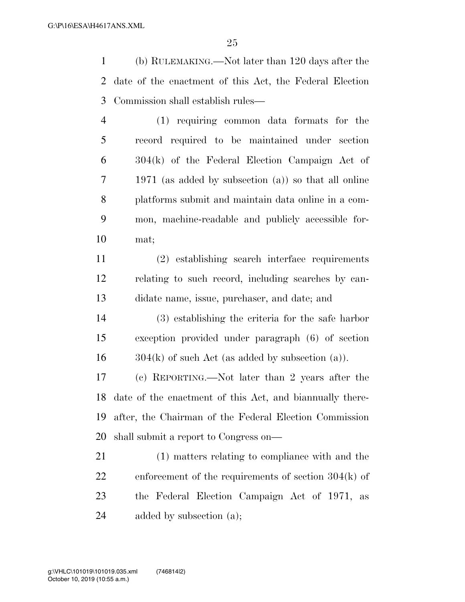(b) RULEMAKING.—Not later than 120 days after the date of the enactment of this Act, the Federal Election Commission shall establish rules—

 (1) requiring common data formats for the record required to be maintained under section 304(k) of the Federal Election Campaign Act of 1971 (as added by subsection (a)) so that all online platforms submit and maintain data online in a com- mon, machine-readable and publicly accessible for-mat;

 (2) establishing search interface requirements relating to such record, including searches by can-didate name, issue, purchaser, and date; and

 (3) establishing the criteria for the safe harbor exception provided under paragraph (6) of section  $16 \qquad 304(k)$  of such Act (as added by subsection (a)).

 (c) REPORTING.—Not later than 2 years after the date of the enactment of this Act, and biannually there- after, the Chairman of the Federal Election Commission shall submit a report to Congress on—

 (1) matters relating to compliance with and the enforcement of the requirements of section 304(k) of the Federal Election Campaign Act of 1971, as added by subsection (a);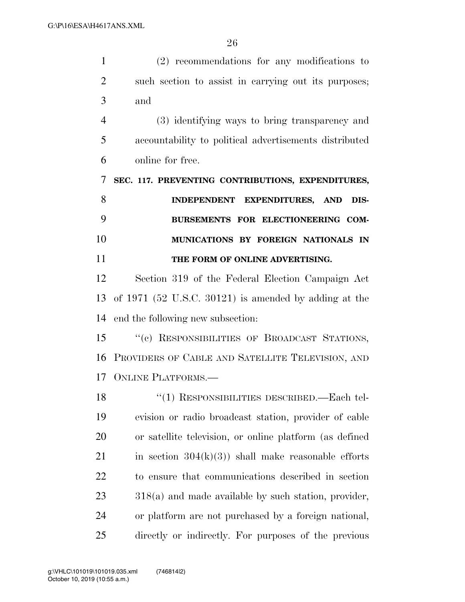| $\mathbf{1}$   | $(2)$ recommendations for any modifications to          |
|----------------|---------------------------------------------------------|
| $\overline{2}$ | such section to assist in carrying out its purposes;    |
| 3              | and                                                     |
| $\overline{4}$ | (3) identifying ways to bring transparency and          |
| 5              | accountability to political advertisements distributed  |
| 6              | online for free.                                        |
| 7              | SEC. 117. PREVENTING CONTRIBUTIONS, EXPENDITURES,       |
| 8              | INDEPENDENT EXPENDITURES, AND<br>DIS-                   |
| 9              | BURSEMENTS FOR ELECTIONEERING COM-                      |
| 10             | MUNICATIONS BY FOREIGN NATIONALS IN                     |
| 11             | THE FORM OF ONLINE ADVERTISING.                         |
| 12             | Section 319 of the Federal Election Campaign Act        |
| 13             | of $1971$ (52 U.S.C. 30121) is amended by adding at the |
| 14             | end the following new subsection:                       |
| 15             | "(c) RESPONSIBILITIES OF BROADCAST STATIONS,            |
| 16             | PROVIDERS OF CABLE AND SATELLITE TELEVISION, AND        |
|                | 17 ONLINE PLATFORMS.                                    |
| 18             | "(1) RESPONSIBILITIES DESCRIBED.—Each tel-              |
| 19             | evision or radio broadcast station, provider of cable   |
| <b>20</b>      | or satellite television, or online platform (as defined |
|                |                                                         |
| 21             | in section $304(k)(3)$ shall make reasonable efforts    |

 318(a) and made available by such station, provider, or platform are not purchased by a foreign national, directly or indirectly. For purposes of the previous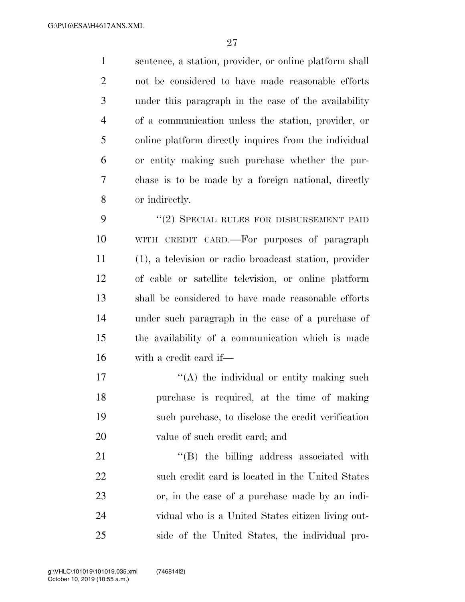sentence, a station, provider, or online platform shall not be considered to have made reasonable efforts under this paragraph in the case of the availability of a communication unless the station, provider, or online platform directly inquires from the individual or entity making such purchase whether the pur- chase is to be made by a foreign national, directly or indirectly.

9 "(2) SPECIAL RULES FOR DISBURSEMENT PAID WITH CREDIT CARD.—For purposes of paragraph (1), a television or radio broadcast station, provider of cable or satellite television, or online platform shall be considered to have made reasonable efforts under such paragraph in the case of a purchase of the availability of a communication which is made with a credit card if—

 $\langle (A)$  the individual or entity making such purchase is required, at the time of making such purchase, to disclose the credit verification value of such credit card; and

 $\text{``(B)}$  the billing address associated with such credit card is located in the United States or, in the case of a purchase made by an indi- vidual who is a United States citizen living out-side of the United States, the individual pro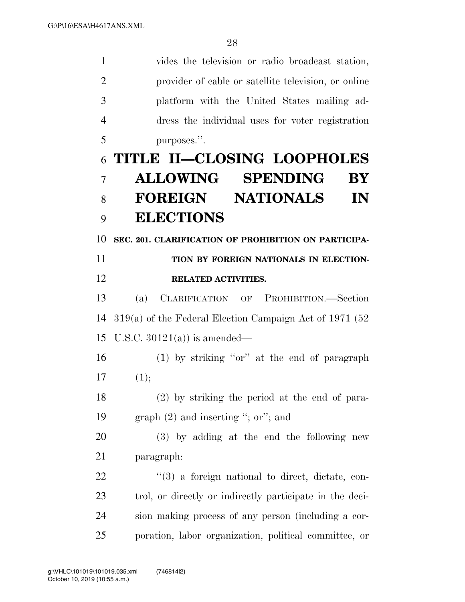vides the television or radio broadcast station, provider of cable or satellite television, or online platform with the United States mailing ad- dress the individual uses for voter registration purposes.''. **TITLE II—CLOSING LOOPHOLES ALLOWING SPENDING BY** 

# **FOREIGN NATIONALS IN ELECTIONS**

**SEC. 201. CLARIFICATION OF PROHIBITION ON PARTICIPA-**

### **TION BY FOREIGN NATIONALS IN ELECTION-RELATED ACTIVITIES.**

 (a) CLARIFICATION OF PROHIBITION.—Section 319(a) of the Federal Election Campaign Act of 1971 (52 U.S.C. 30121(a)) is amended—

 (1) by striking ''or'' at the end of paragraph  $(1);$ 

 (2) by striking the period at the end of para-graph (2) and inserting ''; or''; and

 (3) by adding at the end the following new paragraph:

  $(3)$  a foreign national to direct, dictate, con- trol, or directly or indirectly participate in the deci- sion making process of any person (including a cor-poration, labor organization, political committee, or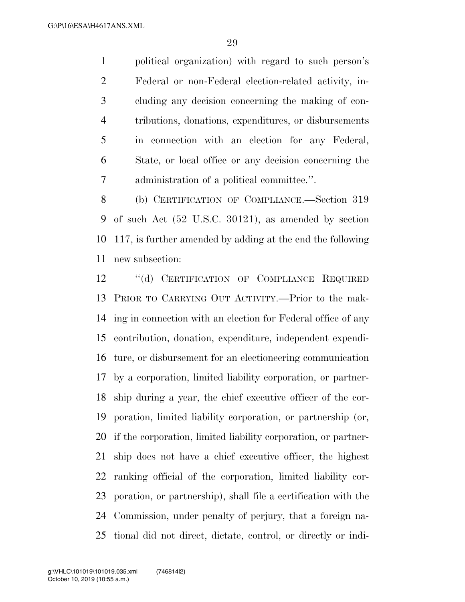political organization) with regard to such person's Federal or non-Federal election-related activity, in- cluding any decision concerning the making of con- tributions, donations, expenditures, or disbursements in connection with an election for any Federal, State, or local office or any decision concerning the administration of a political committee.''.

 (b) CERTIFICATION OF COMPLIANCE.—Section 319 of such Act (52 U.S.C. 30121), as amended by section 117, is further amended by adding at the end the following new subsection:

 ''(d) CERTIFICATION OF COMPLIANCE REQUIRED PRIOR TO CARRYING OUT ACTIVITY.—Prior to the mak- ing in connection with an election for Federal office of any contribution, donation, expenditure, independent expendi- ture, or disbursement for an electioneering communication by a corporation, limited liability corporation, or partner- ship during a year, the chief executive officer of the cor- poration, limited liability corporation, or partnership (or, if the corporation, limited liability corporation, or partner- ship does not have a chief executive officer, the highest ranking official of the corporation, limited liability cor- poration, or partnership), shall file a certification with the Commission, under penalty of perjury, that a foreign na-tional did not direct, dictate, control, or directly or indi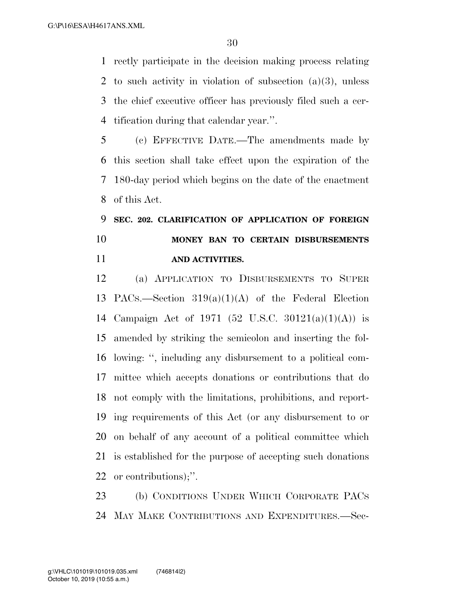rectly participate in the decision making process relating to such activity in violation of subsection (a)(3), unless the chief executive officer has previously filed such a cer-tification during that calendar year.''.

 (c) EFFECTIVE DATE.—The amendments made by this section shall take effect upon the expiration of the 180-day period which begins on the date of the enactment of this Act.

 **SEC. 202. CLARIFICATION OF APPLICATION OF FOREIGN MONEY BAN TO CERTAIN DISBURSEMENTS AND ACTIVITIES.** 

 (a) APPLICATION TO DISBURSEMENTS TO SUPER PACS.—Section 319(a)(1)(A) of the Federal Election Campaign Act of 1971 (52 U.S.C. 30121(a)(1)(A)) is amended by striking the semicolon and inserting the fol- lowing: '', including any disbursement to a political com- mittee which accepts donations or contributions that do not comply with the limitations, prohibitions, and report- ing requirements of this Act (or any disbursement to or on behalf of any account of a political committee which is established for the purpose of accepting such donations or contributions);''.

 (b) CONDITIONS UNDER WHICH CORPORATE PACS MAY MAKE CONTRIBUTIONS AND EXPENDITURES.—Sec-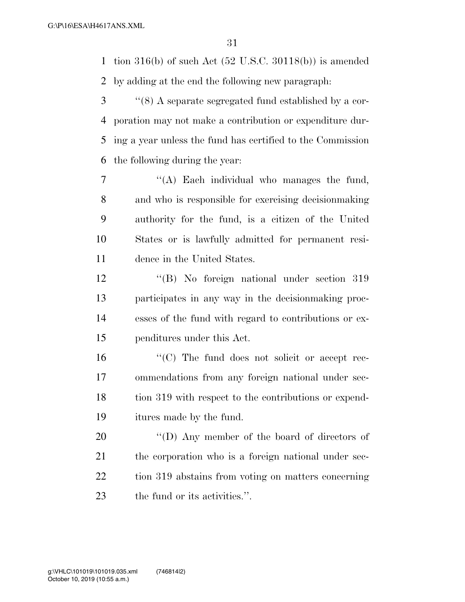tion 316(b) of such Act (52 U.S.C. 30118(b)) is amended by adding at the end the following new paragraph:

 ''(8) A separate segregated fund established by a cor- poration may not make a contribution or expenditure dur- ing a year unless the fund has certified to the Commission the following during the year:

 ''(A) Each individual who manages the fund, and who is responsible for exercising decisionmaking authority for the fund, is a citizen of the United States or is lawfully admitted for permanent resi-dence in the United States.

 ''(B) No foreign national under section 319 participates in any way in the decisionmaking proc- esses of the fund with regard to contributions or ex-penditures under this Act.

 $\langle ^{\prime}(C) \rangle$  The fund does not solicit or accept rec- ommendations from any foreign national under sec-18 tion 319 with respect to the contributions or expend-itures made by the fund.

 $\langle\text{(D)}\rangle$  Any member of the board of directors of the corporation who is a foreign national under sec- tion 319 abstains from voting on matters concerning the fund or its activities.''.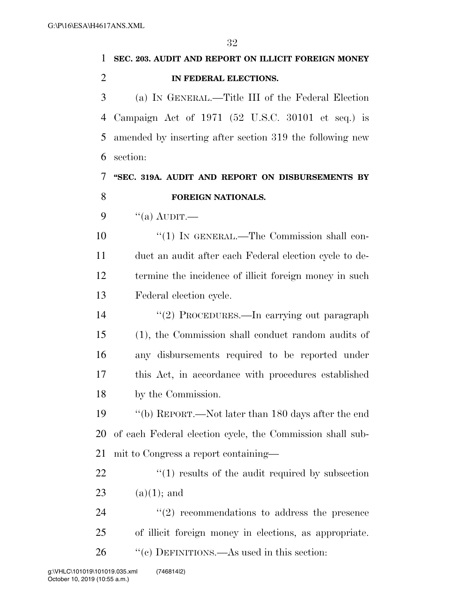| 1              | SEC. 203. AUDIT AND REPORT ON ILLICIT FOREIGN MONEY       |
|----------------|-----------------------------------------------------------|
| $\overline{2}$ | IN FEDERAL ELECTIONS.                                     |
| 3              | (a) IN GENERAL.—Title III of the Federal Election         |
| 4              | Campaign Act of $1971$ (52 U.S.C. 30101 et seq.) is       |
| 5              | amended by inserting after section 319 the following new  |
| 6              | section:                                                  |
| 7              | "SEC. 319A. AUDIT AND REPORT ON DISBURSEMENTS BY          |
| 8              | FOREIGN NATIONALS.                                        |
| 9              | $\lq($ a) AUDIT.—                                         |
| 10             | $\lq(1)$ In GENERAL.—The Commission shall con-            |
| 11             | duct an audit after each Federal election cycle to de-    |
| 12             | termine the incidence of illicit foreign money in such    |
| 13             | Federal election cycle.                                   |
| 14             | "(2) PROCEDURES.—In carrying out paragraph                |
| 15             | (1), the Commission shall conduct random audits of        |
| 16             | any disbursements required to be reported under           |
| 17             | this Act, in accordance with procedures established       |
| 18             | by the Commission.                                        |
| 19             | "(b) REPORT.—Not later than 180 days after the end        |
| 20             | of each Federal election cycle, the Commission shall sub- |
| 21             | mit to Congress a report containing-                      |
| <u>22</u>      | $\lq(1)$ results of the audit required by subsection      |
| 23             | $(a)(1);$ and                                             |
| 24             | $\lq(2)$ recommendations to address the presence          |
| 25             | of illicit foreign money in elections, as appropriate.    |
| 26             | "(c) DEFINITIONS.—As used in this section:                |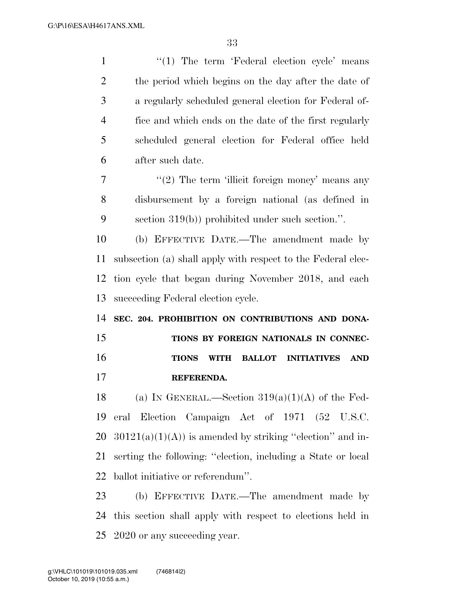| $\mathbf{1}$   | "(1) The term 'Federal election cycle' means                           |
|----------------|------------------------------------------------------------------------|
| $\overline{2}$ | the period which begins on the day after the date of                   |
| 3              | a regularly scheduled general election for Federal of-                 |
| $\overline{4}$ | fice and which ends on the date of the first regularly                 |
| 5              | scheduled general election for Federal office held                     |
| 6              | after such date.                                                       |
| 7              | $\lq(2)$ The term 'illicit foreign money' means any                    |
| 8              | disbursement by a foreign national (as defined in                      |
| 9              | section $319(b)$ ) prohibited under such section.".                    |
| 10             | (b) EFFECTIVE DATE.—The amendment made by                              |
| 11             | subsection (a) shall apply with respect to the Federal elec-           |
| 12             | tion cycle that began during November 2018, and each                   |
| 13             | succeeding Federal election cycle.                                     |
| 14             | SEC. 204. PROHIBITION ON CONTRIBUTIONS AND DONA-                       |
|                |                                                                        |
| 15             | TIONS BY FOREIGN NATIONALS IN CONNEC-                                  |
| 16             | <b>BALLOT INITIATIVES</b><br><b>AND</b><br><b>TIONS</b><br><b>WITH</b> |
| 17             | REFERENDA.                                                             |
| 18             | (a) IN GENERAL.—Section $319(a)(1)(A)$ of the Fed-                     |
| 19             | eral Election Campaign Act of 1971 (52 U.S.C.                          |
| 20             | $30121(a)(1)(A)$ is amended by striking "election" and in-             |
| 21             | serting the following: "election, including a State or local           |
| 22             | ballot initiative or referendum".                                      |
| 23             | (b) EFFECTIVE DATE.—The amendment made by                              |

2020 or any succeeding year.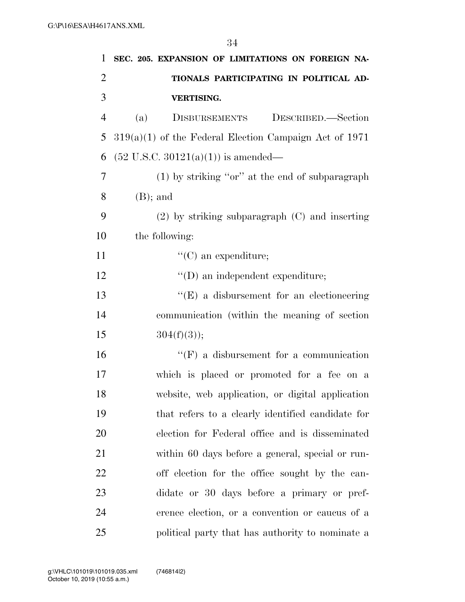| 1              | SEC. 205. EXPANSION OF LIMITATIONS ON FOREIGN NA-        |
|----------------|----------------------------------------------------------|
| $\overline{c}$ | TIONALS PARTICIPATING IN POLITICAL AD-                   |
| 3              | VERTISING.                                               |
| $\overline{4}$ | (a)<br><b>DISBURSEMENTS</b><br>DESCRIBED.-Section        |
| 5              | $319(a)(1)$ of the Federal Election Campaign Act of 1971 |
| 6              | $(52 \text{ U.S.C. } 30121(a)(1))$ is amended—           |
| 7              | $(1)$ by striking "or" at the end of subparagraph        |
| 8              | $(B)$ ; and                                              |
| 9              | $(2)$ by striking subparagraph $(C)$ and inserting       |
| 10             | the following:                                           |
| 11             | $\lq\lq$ (C) an expenditure;                             |
| 12             | $\lq\lq$ (D) an independent expenditure;                 |
| 13             | $\lq\lq(E)$ a disbursement for an electioneering         |
| 14             | communication (within the meaning of section)            |
| 15             | $304(f)(3)$ ;                                            |
| 16             | $\lq\lq(F)$ a disbursement for a communication           |
| 17             | which is placed or promoted for a fee on a               |
| 18             | website, web application, or digital application         |
| 19             | that refers to a clearly identified candidate for        |
| <b>20</b>      | election for Federal office and is disseminated          |
| 21             | within 60 days before a general, special or run-         |
| 22             | off election for the office sought by the can-           |
| 23             | didate or 30 days before a primary or pref-              |
| 24             | erence election, or a convention or caucus of a          |
| 25             | political party that has authority to nominate a         |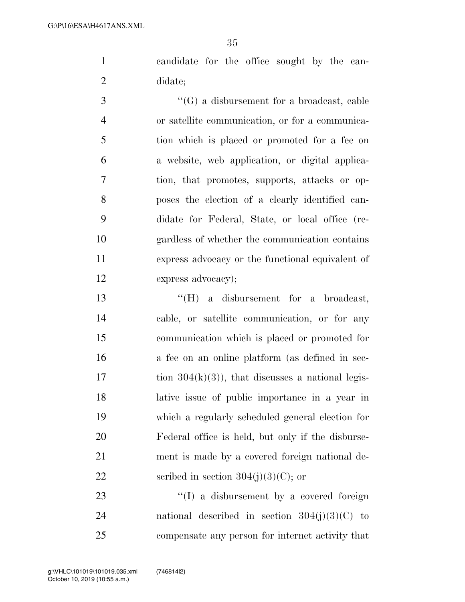candidate for the office sought by the can-didate;

 ''(G) a disbursement for a broadcast, cable or satellite communication, or for a communica- tion which is placed or promoted for a fee on a website, web application, or digital applica- tion, that promotes, supports, attacks or op- poses the election of a clearly identified can- didate for Federal, State, or local office (re- gardless of whether the communication contains express advocacy or the functional equivalent of express advocacy);

 ''(H) a disbursement for a broadcast, cable, or satellite communication, or for any communication which is placed or promoted for a fee on an online platform (as defined in sec- tion  $304(k)(3)$ , that discusses a national legis- lative issue of public importance in a year in which a regularly scheduled general election for Federal office is held, but only if the disburse- ment is made by a covered foreign national de-22 scribed in section  $304(j)(3)(C)$ ; or

23 ''(I) a disbursement by a covered foreign 24 national described in section  $304(j)(3)(C)$  to compensate any person for internet activity that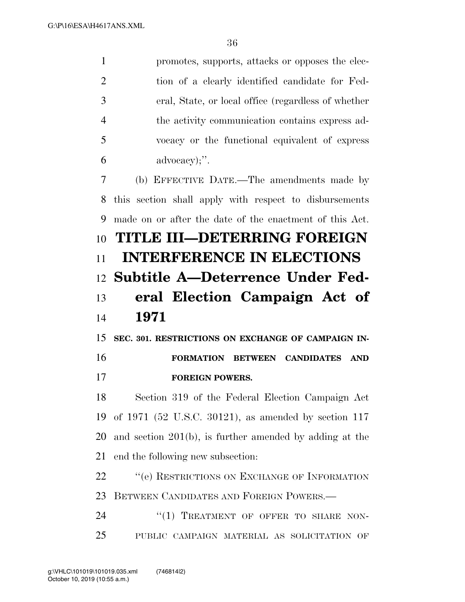promotes, supports, attacks or opposes the elec- tion of a clearly identified candidate for Fed- eral, State, or local office (regardless of whether the activity communication contains express ad- vocacy or the functional equivalent of express advocacy);''.

 (b) EFFECTIVE DATE.—The amendments made by this section shall apply with respect to disbursements made on or after the date of the enactment of this Act. **TITLE III—DETERRING FOREIGN INTERFERENCE IN ELECTIONS Subtitle A—Deterrence Under Fed- eral Election Campaign Act of 1971** 

 **SEC. 301. RESTRICTIONS ON EXCHANGE OF CAMPAIGN IN- FORMATION BETWEEN CANDIDATES AND FOREIGN POWERS.** 

 Section 319 of the Federal Election Campaign Act of 1971 (52 U.S.C. 30121), as amended by section 117 and section 201(b), is further amended by adding at the end the following new subsection:

22 "
(e) RESTRICTIONS ON EXCHANGE OF INFORMATION 23 BETWEEN CANDIDATES AND FOREIGN POWERS —

24 "(1) TREATMENT OF OFFER TO SHARE NON-PUBLIC CAMPAIGN MATERIAL AS SOLICITATION OF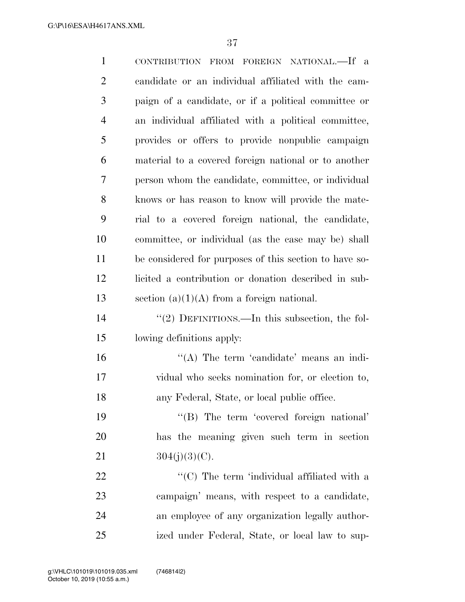| $\mathbf{1}$   | CONTRIBUTION FROM FOREIGN NATIONAL.-If a               |
|----------------|--------------------------------------------------------|
| $\overline{2}$ | candidate or an individual affiliated with the cam-    |
| 3              | paign of a candidate, or if a political committee or   |
| $\overline{4}$ | an individual affiliated with a political committee,   |
| 5              | provides or offers to provide nonpublic campaign       |
| 6              | material to a covered foreign national or to another   |
| 7              | person whom the candidate, committee, or individual    |
| 8              | knows or has reason to know will provide the mate-     |
| 9              | rial to a covered foreign national, the candidate,     |
| 10             | committee, or individual (as the case may be) shall    |
| 11             | be considered for purposes of this section to have so- |
| 12             | licited a contribution or donation described in sub-   |
| 13             | section $(a)(1)(A)$ from a foreign national.           |
| 14             | "(2) DEFINITIONS.—In this subsection, the fol-         |
| 15             | lowing definitions apply:                              |
| 16             | "(A) The term 'candidate' means an indi-               |
| 17             | vidual who seeks nomination for, or election to,       |
| 18             | any Federal, State, or local public office.            |
| 19             | "(B) The term 'covered foreign national'               |
| 20             | has the meaning given such term in section             |
| 21             | $304(j)(3)(C)$ .                                       |
| 22             | "(C) The term 'individual affiliated with a            |
| 23             | campaign' means, with respect to a candidate,          |
| 24             | an employee of any organization legally author-        |
| 25             | ized under Federal, State, or local law to sup-        |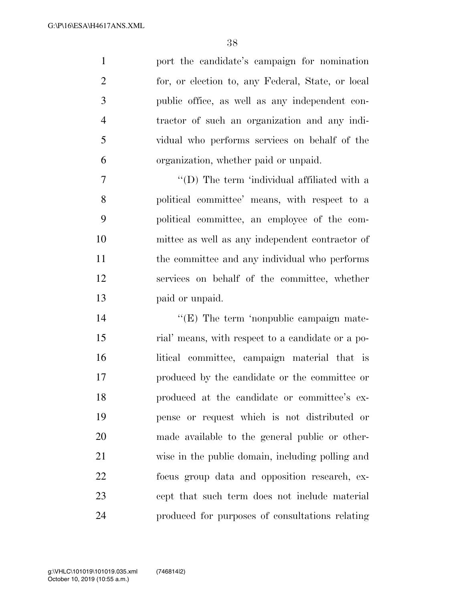port the candidate's campaign for nomination for, or election to, any Federal, State, or local public office, as well as any independent con- tractor of such an organization and any indi- vidual who performs services on behalf of the organization, whether paid or unpaid.

7 ''(D) The term 'individual affiliated with a political committee' means, with respect to a political committee, an employee of the com- mittee as well as any independent contractor of the committee and any individual who performs services on behalf of the committee, whether paid or unpaid.

 $\langle (E)$  The term 'nonpublic campaign mate- rial' means, with respect to a candidate or a po- litical committee, campaign material that is produced by the candidate or the committee or produced at the candidate or committee's ex- pense or request which is not distributed or made available to the general public or other- wise in the public domain, including polling and focus group data and opposition research, ex- cept that such term does not include material produced for purposes of consultations relating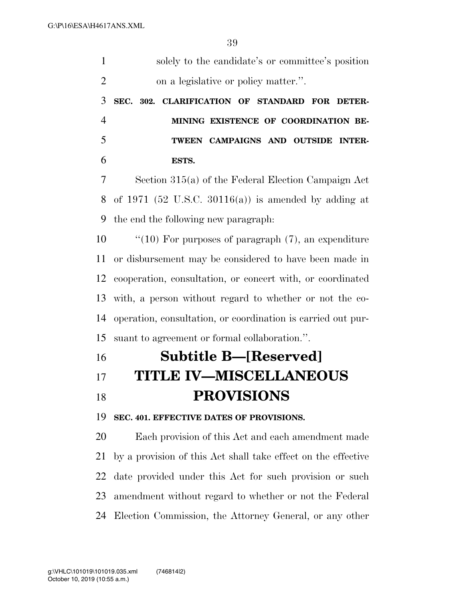| $\mathbf{1}$   | solely to the candidate's or committee's position             |
|----------------|---------------------------------------------------------------|
| $\overline{2}$ | on a legislative or policy matter.".                          |
| 3              | SEC. 302. CLARIFICATION OF STANDARD FOR DETER-                |
| $\overline{4}$ | MINING EXISTENCE OF COORDINATION BE-                          |
| 5              | TWEEN CAMPAIGNS AND OUTSIDE<br><b>INTER-</b>                  |
| 6              | ESTS.                                                         |
| 7              | Section 315(a) of the Federal Election Campaign Act           |
| 8              | of 1971 (52 U.S.C. 30116(a)) is amended by adding at          |
| 9              | the end the following new paragraph.                          |
| 10             | " $(10)$ For purposes of paragraph $(7)$ , an expenditure     |
| 11             | or disbursement may be considered to have been made in        |
| 12             | cooperation, consultation, or concert with, or coordinated    |
| 13             | with, a person without regard to whether or not the co-       |
| 14             | operation, consultation, or coordination is carried out pur-  |
| 15             | suant to agreement or formal collaboration.".                 |
| 16             | <b>Subtitle B-[Reserved]</b>                                  |
| 17             | <b>TITLE IV-MISCELLANEOUS</b>                                 |
| 18             | <b>PROVISIONS</b>                                             |
| 19             | SEC. 401. EFFECTIVE DATES OF PROVISIONS.                      |
| 20             | Each provision of this Act and each amendment made            |
| 21             | by a provision of this Act shall take effect on the effective |
| 22             | date provided under this Act for such provision or such       |
| 23             | amendment without regard to whether or not the Federal        |
| 24             | Election Commission, the Attorney General, or any other       |